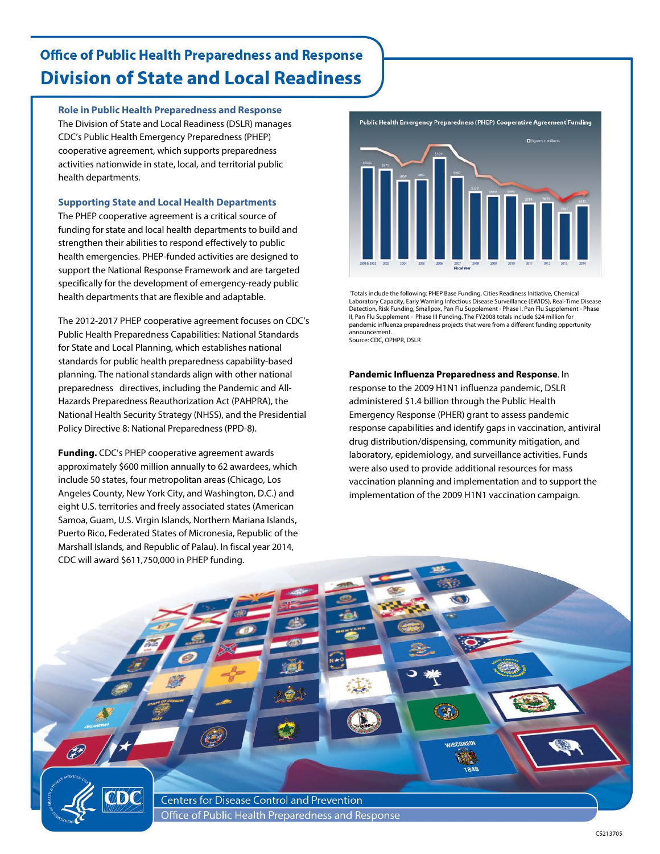## **Office of Public Health Preparedness and Response Division of State and Local Readiness**

**Role in Public Health Preparedness and Response**

The Division of State and Local Readiness (DSLR) manages CDC's Public Health Emergency Preparedness (PHEP) cooperative agreement, which supports preparedness activities nationwide in state, local, and territorial public health departments.

**Supporting State and Local Health Departments**

The PHEP cooperative agreement is a critical source of funding for state and local health departments to build and strengthen their abilities to respond effectively to public health emergencies. PHEP-funded activities are designed to support the National Response Framework and are targeted specifically for the development of emergency-ready public health departments that are flexible and adaptable.

The 2012-2017 PHEP cooperative agreement focuses on CDC's Public Health Preparedness Capabilities: National Standards for State and Local Planning, which establishes national standards for public health preparedness capability-based planning. The national standards align with other national preparedness directives, including the Pandemic and All-Hazards Preparedness Reauthorization Act (PAHPRA), the National Health Security Strategy (NHSS), and the Presidential Policy Directive 8: National Preparedness (PPD-8).

**Funding.** CDC's PHEP cooperative agreement awards approximately \$600 million annually to 62 awardees, which include 50 states, four metropolitan areas (Chicago, Los Angeles County, New York City, and Washington, D.C.) and eight U.S. territories and freely associated states (American Samoa, Guam, U.S. Virgin Islands, Northern Mariana Islands, Puerto Rico, Federated States of Micronesia, Republic of the Marshall Islands, and Republic of Palau). In fiscal year 2014, CDC will award \$611,750,000 in PHEP funding.



1 Totals include the following: PHEP Base Funding, Cities Readiness Initiative, Chemical Laboratory Capacity, Early Warning Infectious Disease Surveillance (EWIDS), Real-Time Disease Detection, Risk Funding, Smallpox, Pan Flu Supplement - Phase I, Pan Flu Supplement - Phase II, Pan Flu Supplement - Phase III Funding. The FY2008 totals include \$24 million for pandemic influenza preparedness projects that were from a different funding opportunity announcement. Source: CDC, OPHPR, DSLR

**Pandemic Influenza Preparedness and Response**. In

 $\mathbb{Z}$ 

response to the 2009 H1N1 influenza pandemic, DSLR administered \$1.4 billion through the Public Health Emergency Response (PHER) grant to assess pandemic response capabilities and identify gaps in vaccination, antiviral drug distribution/dispensing, community mitigation, and laboratory, epidemiology, and surveillance activities. Funds were also used to provide additional resources for mass vaccination planning and implementation and to support the implementation of the 2009 H1N1 vaccination campaign.

**Centers for Disease Control and Prevention** Office of Public Health Preparedness and Response